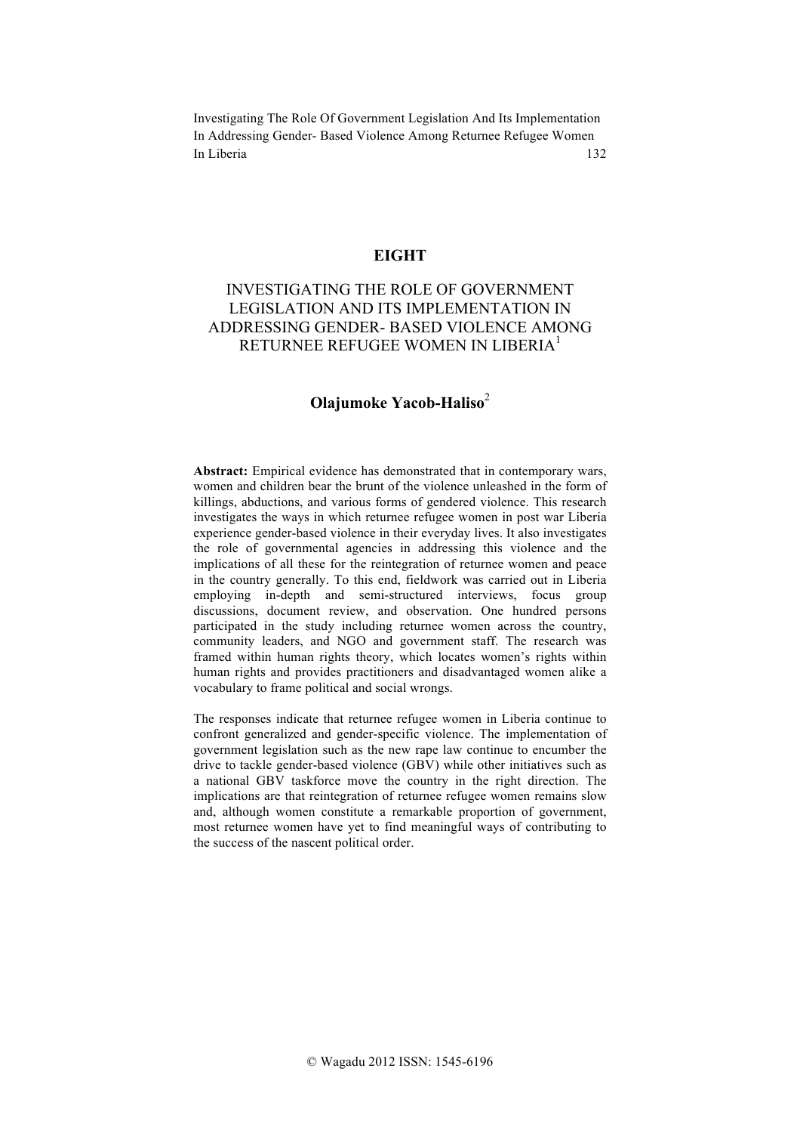#### **EIGHT**

# INVESTIGATING THE ROLE OF GOVERNMENT LEGISLATION AND ITS IMPLEMENTATION IN ADDRESSING GENDER- BASED VIOLENCE AMONG RETURNEE REFUGEE WOMEN IN LIBERIA<sup>1</sup>

## **Olajumoke Yacob-Haliso**<sup>2</sup>

**Abstract:** Empirical evidence has demonstrated that in contemporary wars, women and children bear the brunt of the violence unleashed in the form of killings, abductions, and various forms of gendered violence. This research investigates the ways in which returnee refugee women in post war Liberia experience gender-based violence in their everyday lives. It also investigates the role of governmental agencies in addressing this violence and the implications of all these for the reintegration of returnee women and peace in the country generally. To this end, fieldwork was carried out in Liberia employing in-depth and semi-structured interviews, focus group discussions, document review, and observation. One hundred persons participated in the study including returnee women across the country, community leaders, and NGO and government staff. The research was framed within human rights theory, which locates women's rights within human rights and provides practitioners and disadvantaged women alike a vocabulary to frame political and social wrongs.

The responses indicate that returnee refugee women in Liberia continue to confront generalized and gender-specific violence. The implementation of government legislation such as the new rape law continue to encumber the drive to tackle gender-based violence (GBV) while other initiatives such as a national GBV taskforce move the country in the right direction. The implications are that reintegration of returnee refugee women remains slow and, although women constitute a remarkable proportion of government, most returnee women have yet to find meaningful ways of contributing to the success of the nascent political order.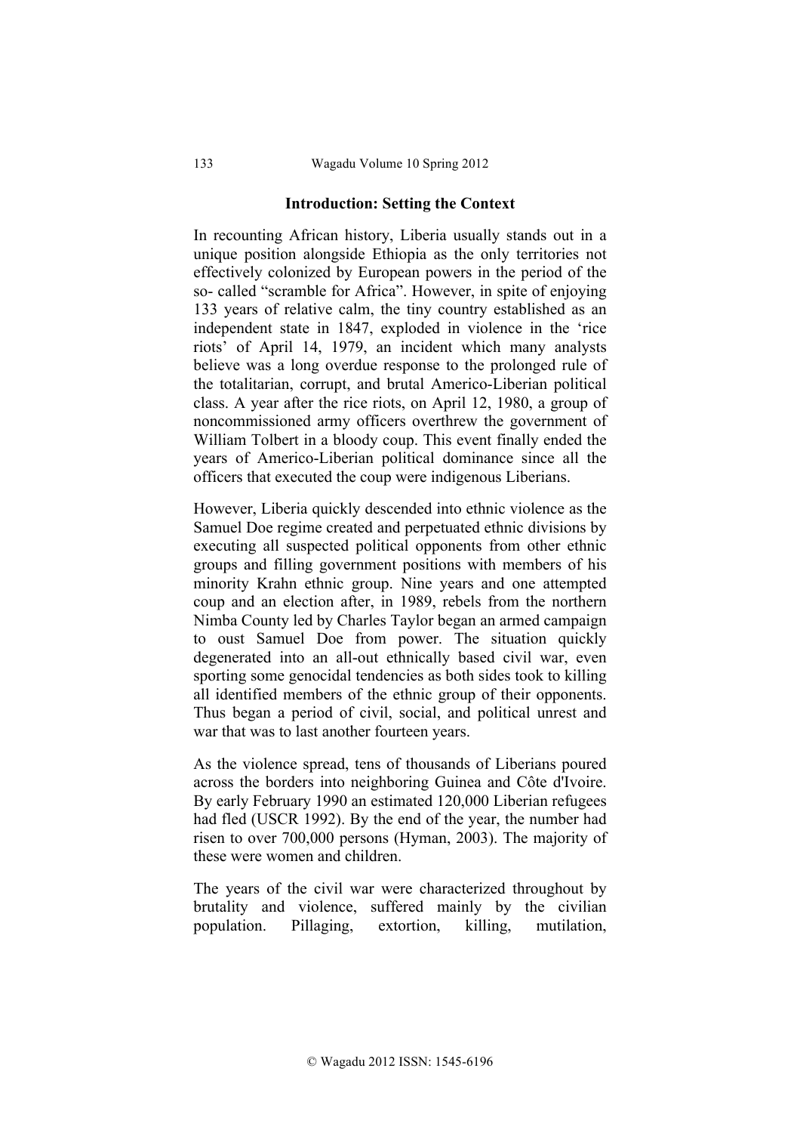#### **Introduction: Setting the Context**

In recounting African history, Liberia usually stands out in a unique position alongside Ethiopia as the only territories not effectively colonized by European powers in the period of the so- called "scramble for Africa". However, in spite of enjoying 133 years of relative calm, the tiny country established as an independent state in 1847, exploded in violence in the 'rice riots' of April 14, 1979, an incident which many analysts believe was a long overdue response to the prolonged rule of the totalitarian, corrupt, and brutal Americo-Liberian political class. A year after the rice riots, on April 12, 1980, a group of noncommissioned army officers overthrew the government of William Tolbert in a bloody coup. This event finally ended the years of Americo-Liberian political dominance since all the officers that executed the coup were indigenous Liberians.

However, Liberia quickly descended into ethnic violence as the Samuel Doe regime created and perpetuated ethnic divisions by executing all suspected political opponents from other ethnic groups and filling government positions with members of his minority Krahn ethnic group. Nine years and one attempted coup and an election after, in 1989, rebels from the northern Nimba County led by Charles Taylor began an armed campaign to oust Samuel Doe from power. The situation quickly degenerated into an all-out ethnically based civil war, even sporting some genocidal tendencies as both sides took to killing all identified members of the ethnic group of their opponents. Thus began a period of civil, social, and political unrest and war that was to last another fourteen years.

As the violence spread, tens of thousands of Liberians poured across the borders into neighboring Guinea and Côte d'Ivoire. By early February 1990 an estimated 120,000 Liberian refugees had fled (USCR 1992). By the end of the year, the number had risen to over 700,000 persons (Hyman, 2003). The majority of these were women and children.

The years of the civil war were characterized throughout by brutality and violence, suffered mainly by the civilian population. Pillaging, extortion, killing, mutilation,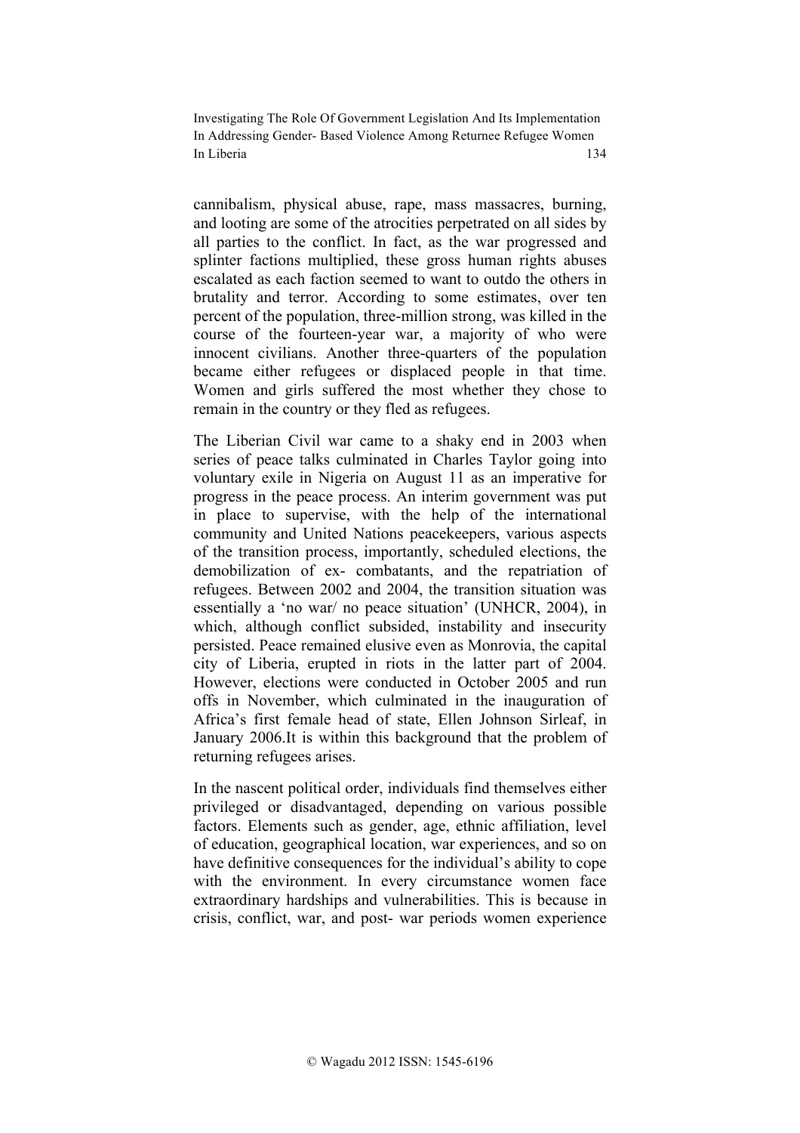cannibalism, physical abuse, rape, mass massacres, burning, and looting are some of the atrocities perpetrated on all sides by all parties to the conflict. In fact, as the war progressed and splinter factions multiplied, these gross human rights abuses escalated as each faction seemed to want to outdo the others in brutality and terror. According to some estimates, over ten percent of the population, three-million strong, was killed in the course of the fourteen-year war, a majority of who were innocent civilians. Another three-quarters of the population became either refugees or displaced people in that time. Women and girls suffered the most whether they chose to remain in the country or they fled as refugees.

The Liberian Civil war came to a shaky end in 2003 when series of peace talks culminated in Charles Taylor going into voluntary exile in Nigeria on August 11 as an imperative for progress in the peace process. An interim government was put in place to supervise, with the help of the international community and United Nations peacekeepers, various aspects of the transition process, importantly, scheduled elections, the demobilization of ex- combatants, and the repatriation of refugees. Between 2002 and 2004, the transition situation was essentially a 'no war/ no peace situation' (UNHCR, 2004), in which, although conflict subsided, instability and insecurity persisted. Peace remained elusive even as Monrovia, the capital city of Liberia, erupted in riots in the latter part of 2004. However, elections were conducted in October 2005 and run offs in November, which culminated in the inauguration of Africa's first female head of state, Ellen Johnson Sirleaf, in January 2006.It is within this background that the problem of returning refugees arises.

In the nascent political order, individuals find themselves either privileged or disadvantaged, depending on various possible factors. Elements such as gender, age, ethnic affiliation, level of education, geographical location, war experiences, and so on have definitive consequences for the individual's ability to cope with the environment. In every circumstance women face extraordinary hardships and vulnerabilities. This is because in crisis, conflict, war, and post- war periods women experience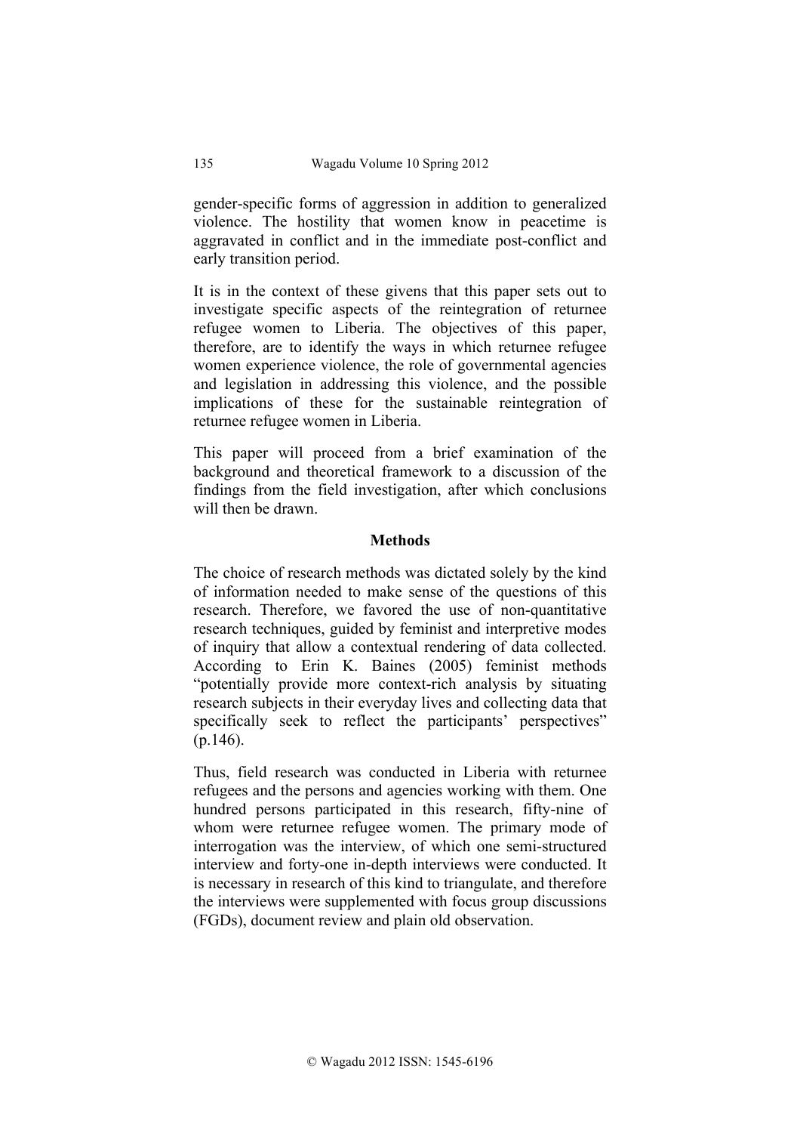gender-specific forms of aggression in addition to generalized violence. The hostility that women know in peacetime is aggravated in conflict and in the immediate post-conflict and early transition period.

It is in the context of these givens that this paper sets out to investigate specific aspects of the reintegration of returnee refugee women to Liberia. The objectives of this paper, therefore, are to identify the ways in which returnee refugee women experience violence, the role of governmental agencies and legislation in addressing this violence, and the possible implications of these for the sustainable reintegration of returnee refugee women in Liberia.

This paper will proceed from a brief examination of the background and theoretical framework to a discussion of the findings from the field investigation, after which conclusions will then be drawn.

### **Methods**

The choice of research methods was dictated solely by the kind of information needed to make sense of the questions of this research. Therefore, we favored the use of non-quantitative research techniques, guided by feminist and interpretive modes of inquiry that allow a contextual rendering of data collected. According to Erin K. Baines (2005) feminist methods "potentially provide more context-rich analysis by situating research subjects in their everyday lives and collecting data that specifically seek to reflect the participants' perspectives" (p.146).

Thus, field research was conducted in Liberia with returnee refugees and the persons and agencies working with them. One hundred persons participated in this research, fifty-nine of whom were returnee refugee women. The primary mode of interrogation was the interview, of which one semi-structured interview and forty-one in-depth interviews were conducted. It is necessary in research of this kind to triangulate, and therefore the interviews were supplemented with focus group discussions (FGDs), document review and plain old observation.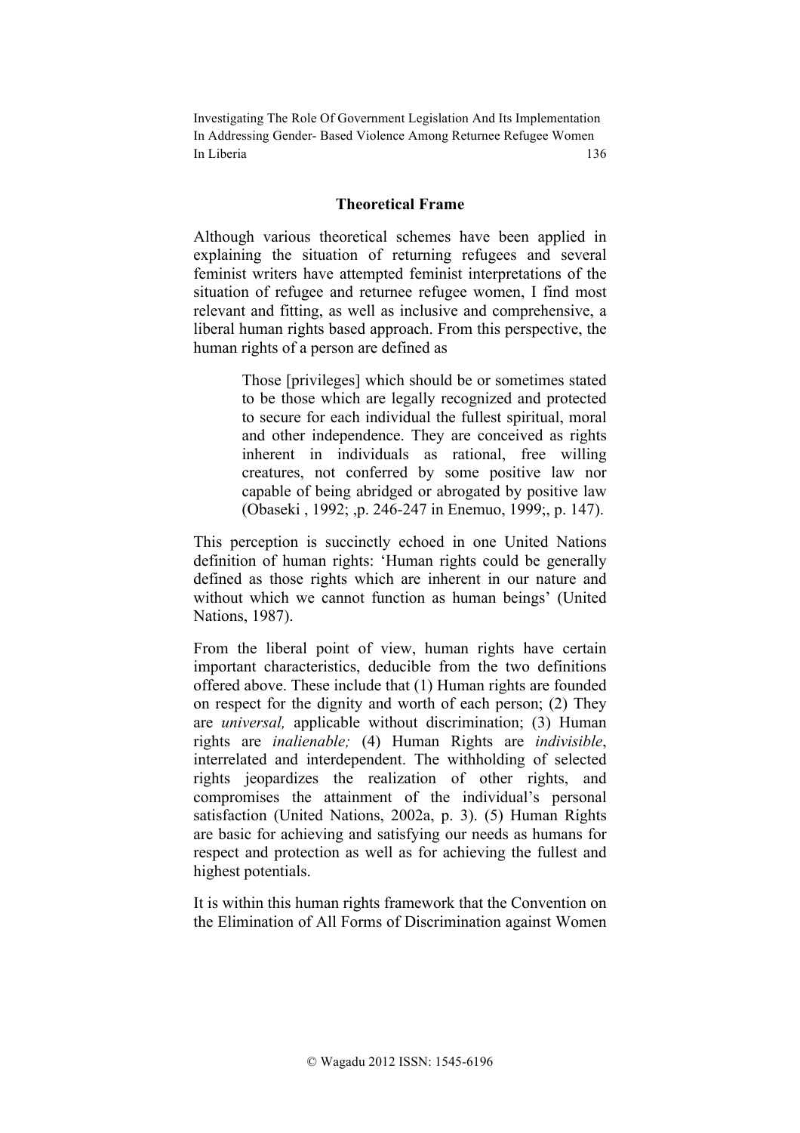#### **Theoretical Frame**

Although various theoretical schemes have been applied in explaining the situation of returning refugees and several feminist writers have attempted feminist interpretations of the situation of refugee and returnee refugee women, I find most relevant and fitting, as well as inclusive and comprehensive, a liberal human rights based approach. From this perspective, the human rights of a person are defined as

> Those [privileges] which should be or sometimes stated to be those which are legally recognized and protected to secure for each individual the fullest spiritual, moral and other independence. They are conceived as rights inherent in individuals as rational, free willing creatures, not conferred by some positive law nor capable of being abridged or abrogated by positive law (Obaseki , 1992; ,p. 246-247 in Enemuo, 1999;, p. 147).

This perception is succinctly echoed in one United Nations definition of human rights: 'Human rights could be generally defined as those rights which are inherent in our nature and without which we cannot function as human beings' (United Nations, 1987).

From the liberal point of view, human rights have certain important characteristics, deducible from the two definitions offered above. These include that (1) Human rights are founded on respect for the dignity and worth of each person; (2) They are *universal,* applicable without discrimination; (3) Human rights are *inalienable;* (4) Human Rights are *indivisible*, interrelated and interdependent. The withholding of selected rights jeopardizes the realization of other rights, and compromises the attainment of the individual's personal satisfaction (United Nations, 2002a, p. 3). (5) Human Rights are basic for achieving and satisfying our needs as humans for respect and protection as well as for achieving the fullest and highest potentials.

It is within this human rights framework that the Convention on the Elimination of All Forms of Discrimination against Women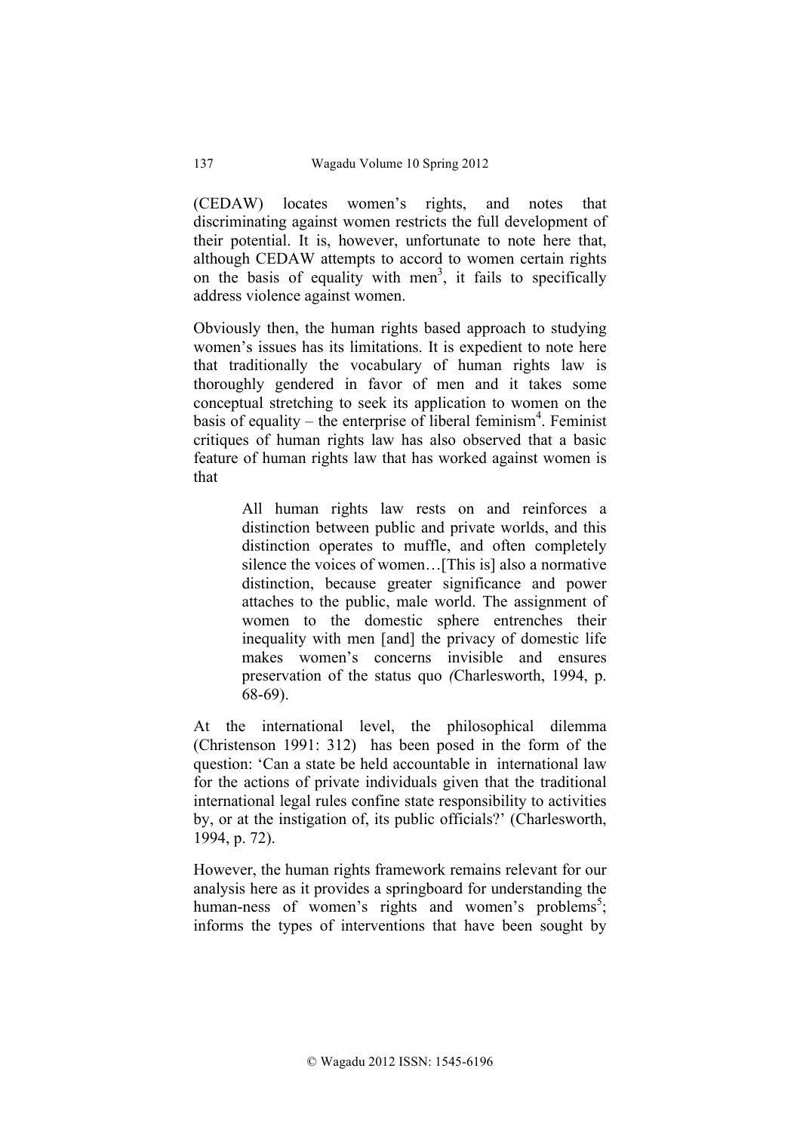(CEDAW) locates women's rights, and notes that discriminating against women restricts the full development of their potential. It is, however, unfortunate to note here that, although CEDAW attempts to accord to women certain rights on the basis of equality with men<sup>3</sup>, it fails to specifically address violence against women.

Obviously then, the human rights based approach to studying women's issues has its limitations. It is expedient to note here that traditionally the vocabulary of human rights law is thoroughly gendered in favor of men and it takes some conceptual stretching to seek its application to women on the basis of equality – the enterprise of liberal feminism<sup>4</sup>. Feminist critiques of human rights law has also observed that a basic feature of human rights law that has worked against women is that

> All human rights law rests on and reinforces a distinction between public and private worlds, and this distinction operates to muffle, and often completely silence the voices of women…[This is] also a normative distinction, because greater significance and power attaches to the public, male world. The assignment of women to the domestic sphere entrenches their inequality with men [and] the privacy of domestic life makes women's concerns invisible and ensures preservation of the status quo *(*Charlesworth, 1994, p. 68-69).

At the international level, the philosophical dilemma (Christenson 1991: 312) has been posed in the form of the question: 'Can a state be held accountable in international law for the actions of private individuals given that the traditional international legal rules confine state responsibility to activities by, or at the instigation of, its public officials?' (Charlesworth, 1994, p. 72).

However, the human rights framework remains relevant for our analysis here as it provides a springboard for understanding the human-ness of women's rights and women's problems<sup>5</sup>; informs the types of interventions that have been sought by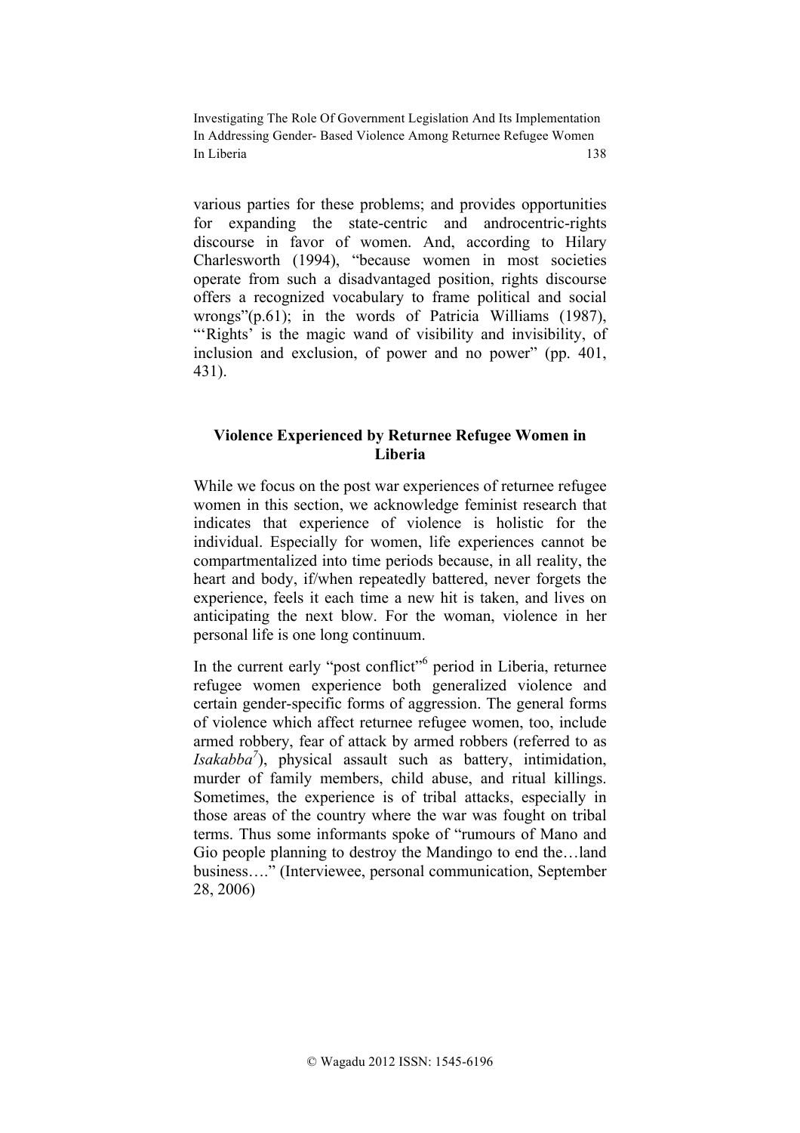various parties for these problems; and provides opportunities for expanding the state-centric and androcentric-rights discourse in favor of women. And, according to Hilary Charlesworth (1994), "because women in most societies operate from such a disadvantaged position, rights discourse offers a recognized vocabulary to frame political and social wrongs"(p.61); in the words of Patricia Williams (1987), ""Rights' is the magic wand of visibility and invisibility, of inclusion and exclusion, of power and no power" (pp. 401, 431).

### **Violence Experienced by Returnee Refugee Women in Liberia**

While we focus on the post war experiences of returnee refugee women in this section, we acknowledge feminist research that indicates that experience of violence is holistic for the individual. Especially for women, life experiences cannot be compartmentalized into time periods because, in all reality, the heart and body, if/when repeatedly battered, never forgets the experience, feels it each time a new hit is taken, and lives on anticipating the next blow. For the woman, violence in her personal life is one long continuum.

In the current early "post conflict"6 period in Liberia, returnee refugee women experience both generalized violence and certain gender-specific forms of aggression. The general forms of violence which affect returnee refugee women, too, include armed robbery, fear of attack by armed robbers (referred to as *Isakabba7* ), physical assault such as battery, intimidation, murder of family members, child abuse, and ritual killings. Sometimes, the experience is of tribal attacks, especially in those areas of the country where the war was fought on tribal terms. Thus some informants spoke of "rumours of Mano and Gio people planning to destroy the Mandingo to end the…land business…." (Interviewee, personal communication, September 28, 2006)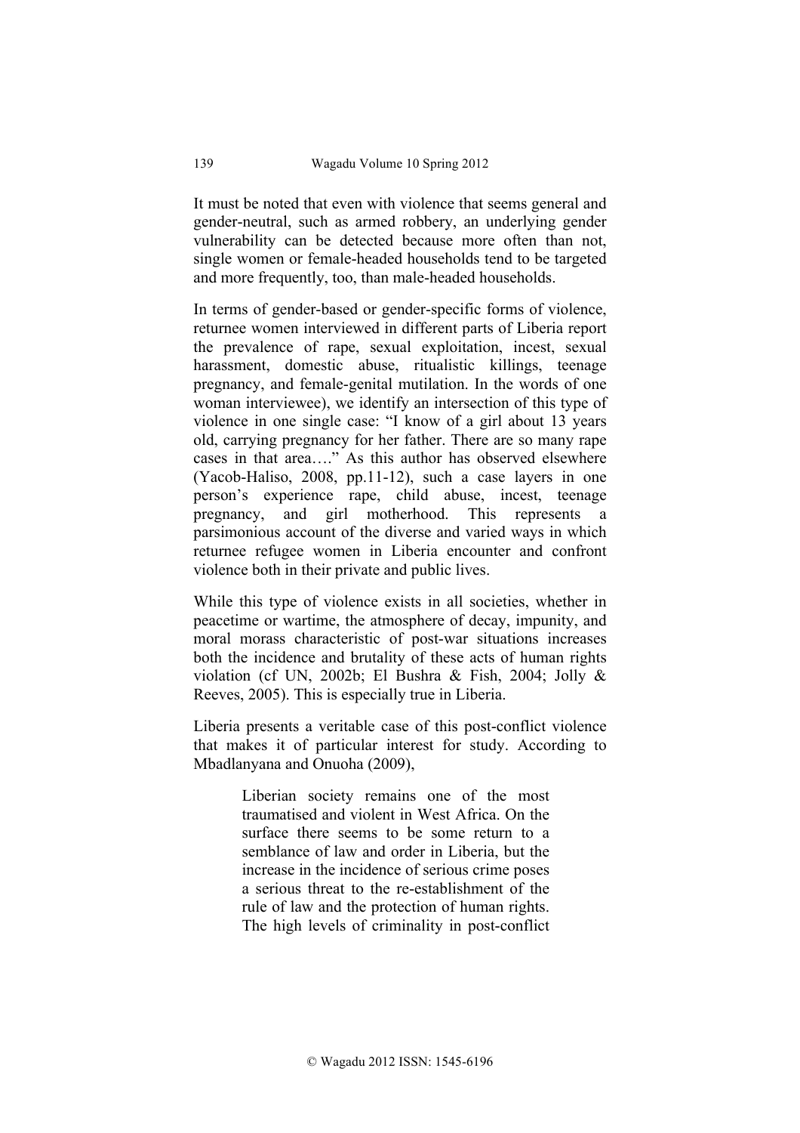It must be noted that even with violence that seems general and gender-neutral, such as armed robbery, an underlying gender vulnerability can be detected because more often than not, single women or female-headed households tend to be targeted and more frequently, too, than male-headed households.

In terms of gender-based or gender-specific forms of violence, returnee women interviewed in different parts of Liberia report the prevalence of rape, sexual exploitation, incest, sexual harassment, domestic abuse, ritualistic killings, teenage pregnancy, and female-genital mutilation. In the words of one woman interviewee), we identify an intersection of this type of violence in one single case: "I know of a girl about 13 years old, carrying pregnancy for her father. There are so many rape cases in that area…." As this author has observed elsewhere (Yacob-Haliso, 2008, pp.11-12), such a case layers in one person's experience rape, child abuse, incest, teenage pregnancy, and girl motherhood. This represents a parsimonious account of the diverse and varied ways in which returnee refugee women in Liberia encounter and confront violence both in their private and public lives.

While this type of violence exists in all societies, whether in peacetime or wartime, the atmosphere of decay, impunity, and moral morass characteristic of post-war situations increases both the incidence and brutality of these acts of human rights violation (cf UN, 2002b; El Bushra & Fish, 2004; Jolly & Reeves, 2005). This is especially true in Liberia.

Liberia presents a veritable case of this post-conflict violence that makes it of particular interest for study. According to Mbadlanyana and Onuoha (2009),

> Liberian society remains one of the most traumatised and violent in West Africa. On the surface there seems to be some return to a semblance of law and order in Liberia, but the increase in the incidence of serious crime poses a serious threat to the re-establishment of the rule of law and the protection of human rights. The high levels of criminality in post-conflict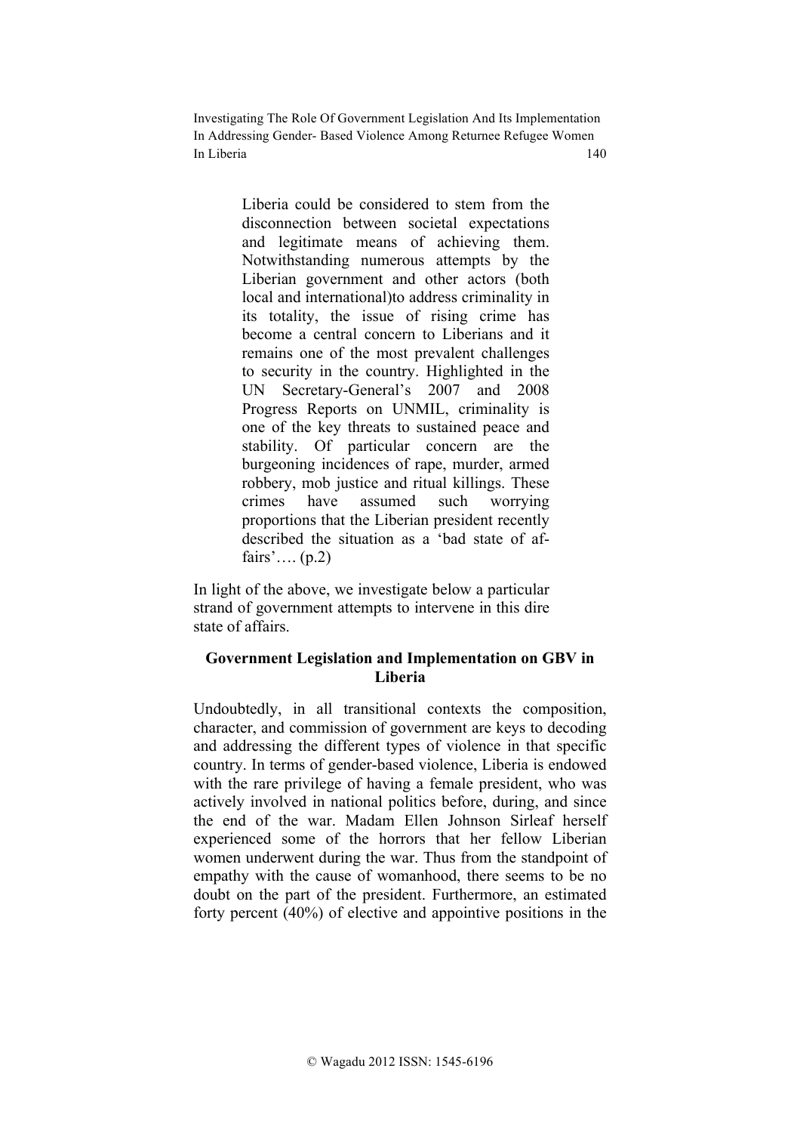> Liberia could be considered to stem from the disconnection between societal expectations and legitimate means of achieving them. Notwithstanding numerous attempts by the Liberian government and other actors (both local and international)to address criminality in its totality, the issue of rising crime has become a central concern to Liberians and it remains one of the most prevalent challenges to security in the country. Highlighted in the UN Secretary-General's 2007 and 2008 Progress Reports on UNMIL, criminality is one of the key threats to sustained peace and stability. Of particular concern are the burgeoning incidences of rape, murder, armed robbery, mob justice and ritual killings. These crimes have assumed such worrying proportions that the Liberian president recently described the situation as a 'bad state of affairs'….  $(p.2)$

In light of the above, we investigate below a particular strand of government attempts to intervene in this dire state of affairs.

## **Government Legislation and Implementation on GBV in Liberia**

Undoubtedly, in all transitional contexts the composition, character, and commission of government are keys to decoding and addressing the different types of violence in that specific country. In terms of gender-based violence, Liberia is endowed with the rare privilege of having a female president, who was actively involved in national politics before, during, and since the end of the war. Madam Ellen Johnson Sirleaf herself experienced some of the horrors that her fellow Liberian women underwent during the war. Thus from the standpoint of empathy with the cause of womanhood, there seems to be no doubt on the part of the president. Furthermore, an estimated forty percent (40%) of elective and appointive positions in the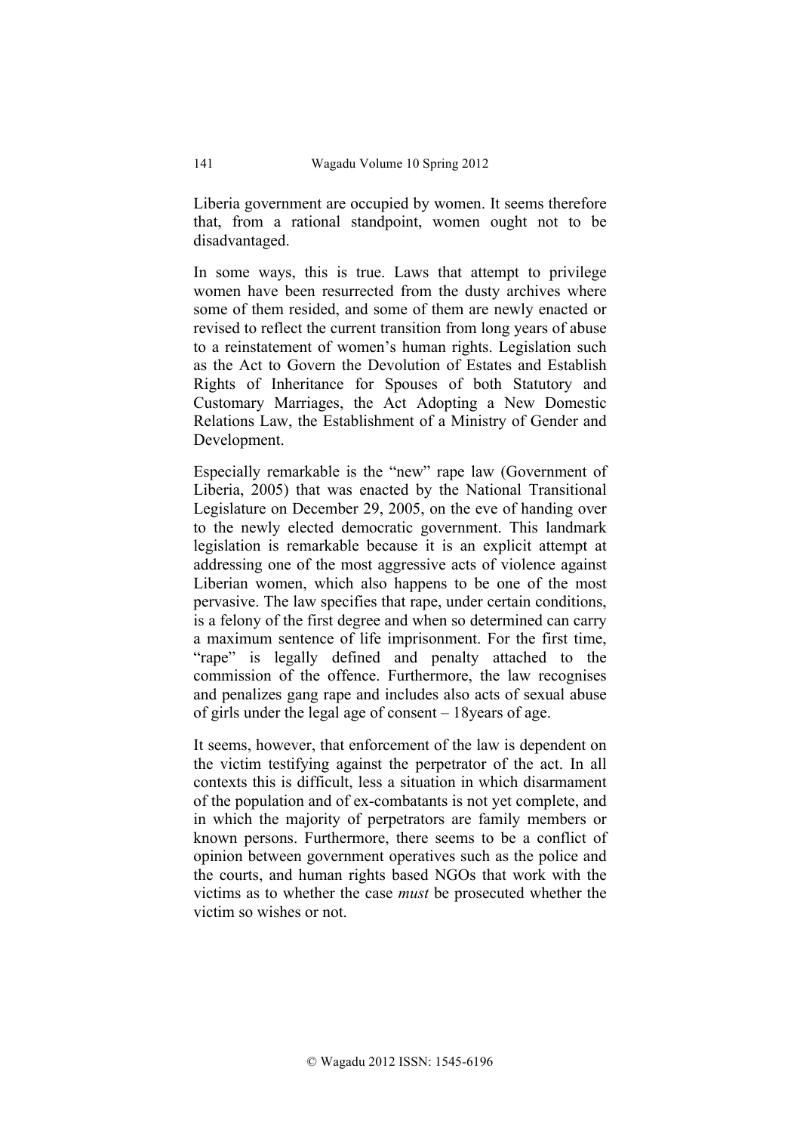Liberia government are occupied by women. It seems therefore that, from a rational standpoint, women ought not to be disadvantaged.

In some ways, this is true. Laws that attempt to privilege women have been resurrected from the dusty archives where some of them resided, and some of them are newly enacted or revised to reflect the current transition from long years of abuse to a reinstatement of women's human rights. Legislation such as the Act to Govern the Devolution of Estates and Establish Rights of Inheritance for Spouses of both Statutory and Customary Marriages, the Act Adopting a New Domestic Relations Law, the Establishment of a Ministry of Gender and Development.

Especially remarkable is the "new" rape law (Government of Liberia, 2005) that was enacted by the National Transitional Legislature on December 29, 2005, on the eve of handing over to the newly elected democratic government. This landmark legislation is remarkable because it is an explicit attempt at addressing one of the most aggressive acts of violence against Liberian women, which also happens to be one of the most pervasive. The law specifies that rape, under certain conditions, is a felony of the first degree and when so determined can carry a maximum sentence of life imprisonment. For the first time, "rape" is legally defined and penalty attached to the commission of the offence. Furthermore, the law recognises and penalizes gang rape and includes also acts of sexual abuse of girls under the legal age of consent – 18years of age.

It seems, however, that enforcement of the law is dependent on the victim testifying against the perpetrator of the act. In all contexts this is difficult, less a situation in which disarmament of the population and of ex-combatants is not yet complete, and in which the majority of perpetrators are family members or known persons. Furthermore, there seems to be a conflict of opinion between government operatives such as the police and the courts, and human rights based NGOs that work with the victims as to whether the case *must* be prosecuted whether the victim so wishes or not.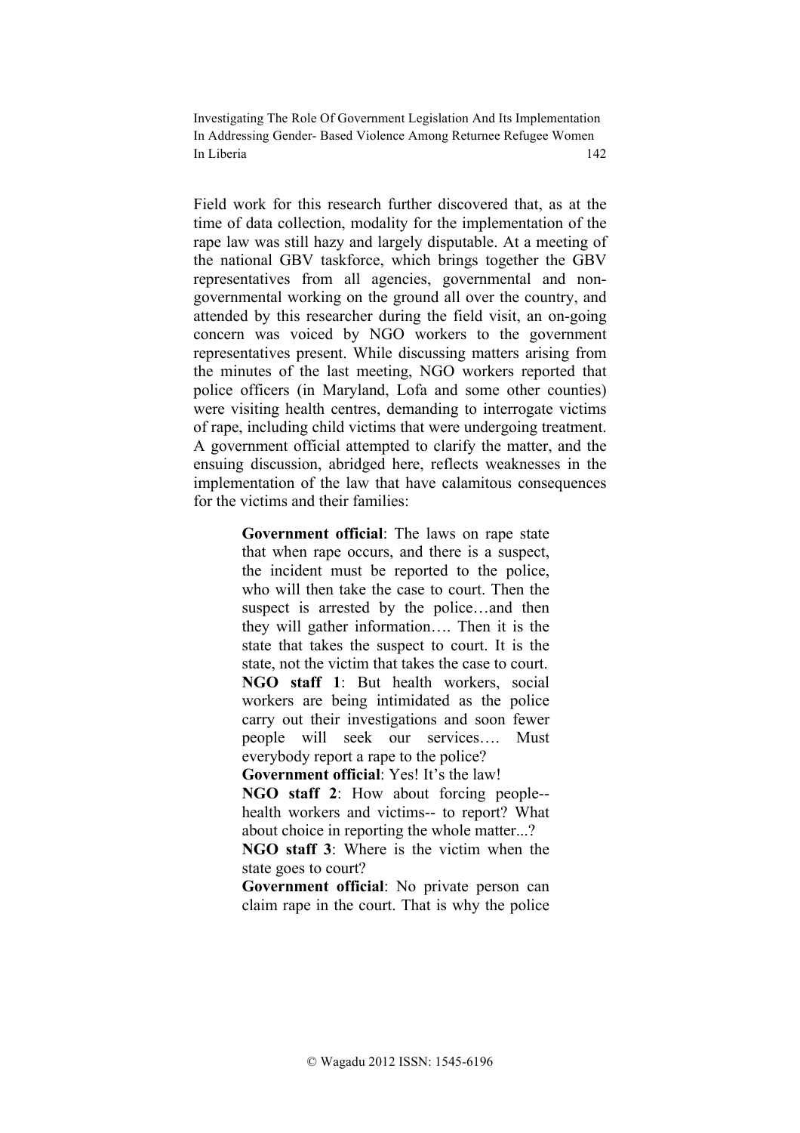Field work for this research further discovered that, as at the time of data collection, modality for the implementation of the rape law was still hazy and largely disputable. At a meeting of the national GBV taskforce, which brings together the GBV representatives from all agencies, governmental and nongovernmental working on the ground all over the country, and attended by this researcher during the field visit, an on-going concern was voiced by NGO workers to the government representatives present. While discussing matters arising from the minutes of the last meeting, NGO workers reported that police officers (in Maryland, Lofa and some other counties) were visiting health centres, demanding to interrogate victims of rape, including child victims that were undergoing treatment. A government official attempted to clarify the matter, and the ensuing discussion, abridged here, reflects weaknesses in the implementation of the law that have calamitous consequences for the victims and their families:

> **Government official**: The laws on rape state that when rape occurs, and there is a suspect, the incident must be reported to the police, who will then take the case to court. Then the suspect is arrested by the police…and then they will gather information…. Then it is the state that takes the suspect to court. It is the state, not the victim that takes the case to court. **NGO staff 1**: But health workers, social workers are being intimidated as the police carry out their investigations and soon fewer people will seek our services…. Must everybody report a rape to the police?

**Government official**: Yes! It's the law!

**NGO staff 2**: How about forcing people- health workers and victims-- to report? What about choice in reporting the whole matter...?

**NGO staff 3**: Where is the victim when the state goes to court?

**Government official**: No private person can claim rape in the court. That is why the police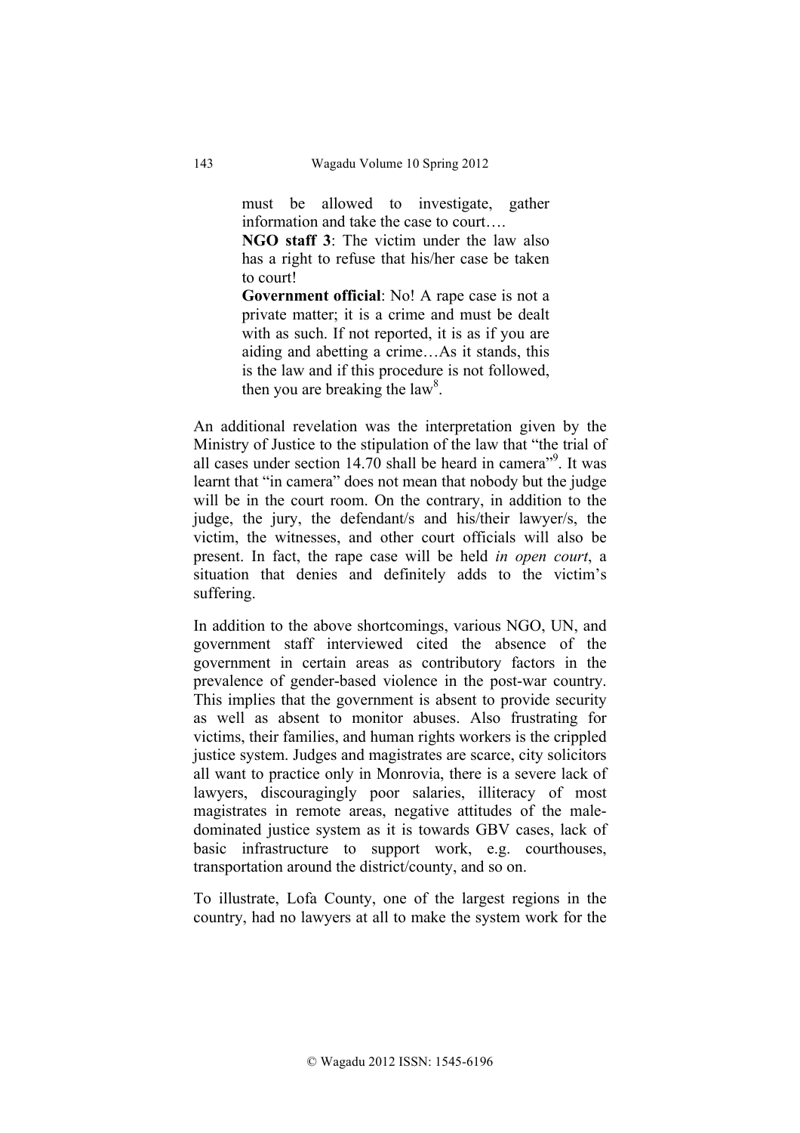must be allowed to investigate, gather information and take the case to court….

**NGO staff 3**: The victim under the law also has a right to refuse that his/her case be taken to court!

**Government official**: No! A rape case is not a private matter; it is a crime and must be dealt with as such. If not reported, it is as if you are aiding and abetting a crime…As it stands, this is the law and if this procedure is not followed, then you are breaking the law<sup>8</sup>.

An additional revelation was the interpretation given by the Ministry of Justice to the stipulation of the law that "the trial of all cases under section  $14.70$  shall be heard in camera<sup>"9</sup>. It was learnt that "in camera" does not mean that nobody but the judge will be in the court room. On the contrary, in addition to the judge, the jury, the defendant/s and his/their lawyer/s, the victim, the witnesses, and other court officials will also be present. In fact, the rape case will be held *in open court*, a situation that denies and definitely adds to the victim's suffering.

In addition to the above shortcomings, various NGO, UN, and government staff interviewed cited the absence of the government in certain areas as contributory factors in the prevalence of gender-based violence in the post-war country. This implies that the government is absent to provide security as well as absent to monitor abuses. Also frustrating for victims, their families, and human rights workers is the crippled justice system. Judges and magistrates are scarce, city solicitors all want to practice only in Monrovia, there is a severe lack of lawyers, discouragingly poor salaries, illiteracy of most magistrates in remote areas, negative attitudes of the maledominated justice system as it is towards GBV cases, lack of basic infrastructure to support work, e.g. courthouses, transportation around the district/county, and so on.

To illustrate, Lofa County, one of the largest regions in the country, had no lawyers at all to make the system work for the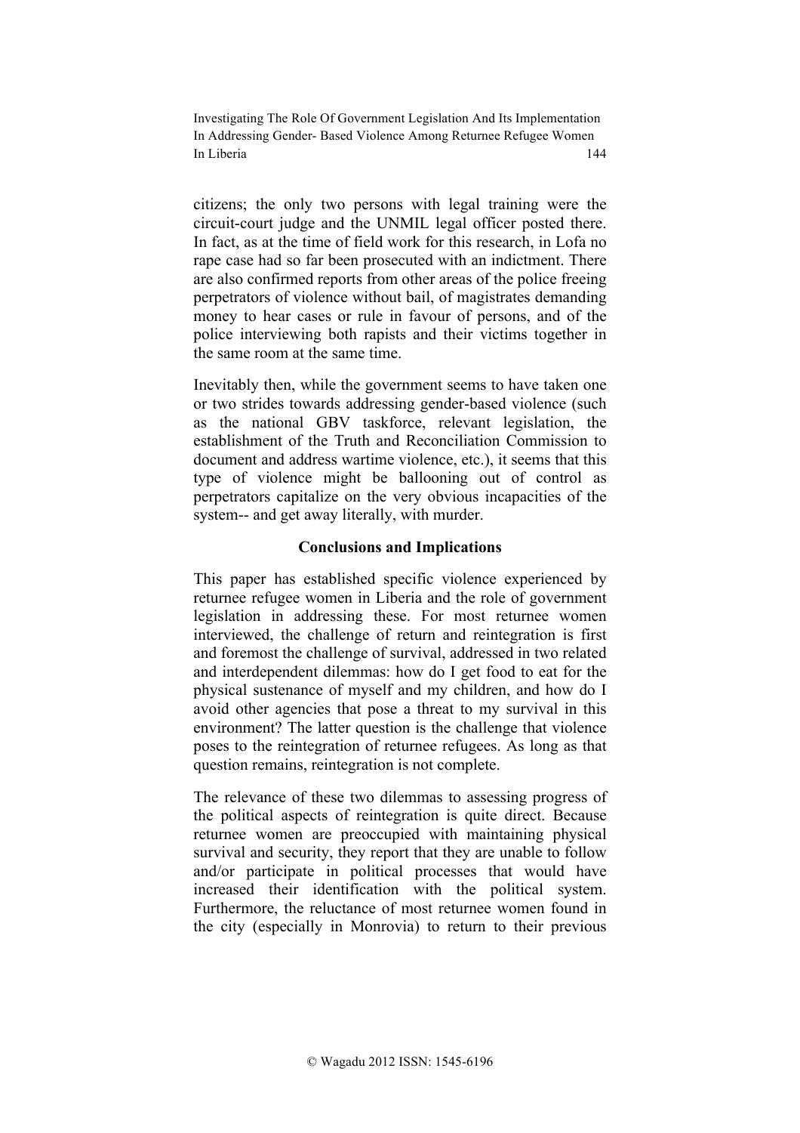citizens; the only two persons with legal training were the circuit-court judge and the UNMIL legal officer posted there. In fact, as at the time of field work for this research, in Lofa no rape case had so far been prosecuted with an indictment. There are also confirmed reports from other areas of the police freeing perpetrators of violence without bail, of magistrates demanding money to hear cases or rule in favour of persons, and of the police interviewing both rapists and their victims together in the same room at the same time.

Inevitably then, while the government seems to have taken one or two strides towards addressing gender-based violence (such as the national GBV taskforce, relevant legislation, the establishment of the Truth and Reconciliation Commission to document and address wartime violence, etc.), it seems that this type of violence might be ballooning out of control as perpetrators capitalize on the very obvious incapacities of the system-- and get away literally, with murder.

### **Conclusions and Implications**

This paper has established specific violence experienced by returnee refugee women in Liberia and the role of government legislation in addressing these. For most returnee women interviewed, the challenge of return and reintegration is first and foremost the challenge of survival, addressed in two related and interdependent dilemmas: how do I get food to eat for the physical sustenance of myself and my children, and how do I avoid other agencies that pose a threat to my survival in this environment? The latter question is the challenge that violence poses to the reintegration of returnee refugees. As long as that question remains, reintegration is not complete.

The relevance of these two dilemmas to assessing progress of the political aspects of reintegration is quite direct. Because returnee women are preoccupied with maintaining physical survival and security, they report that they are unable to follow and/or participate in political processes that would have increased their identification with the political system. Furthermore, the reluctance of most returnee women found in the city (especially in Monrovia) to return to their previous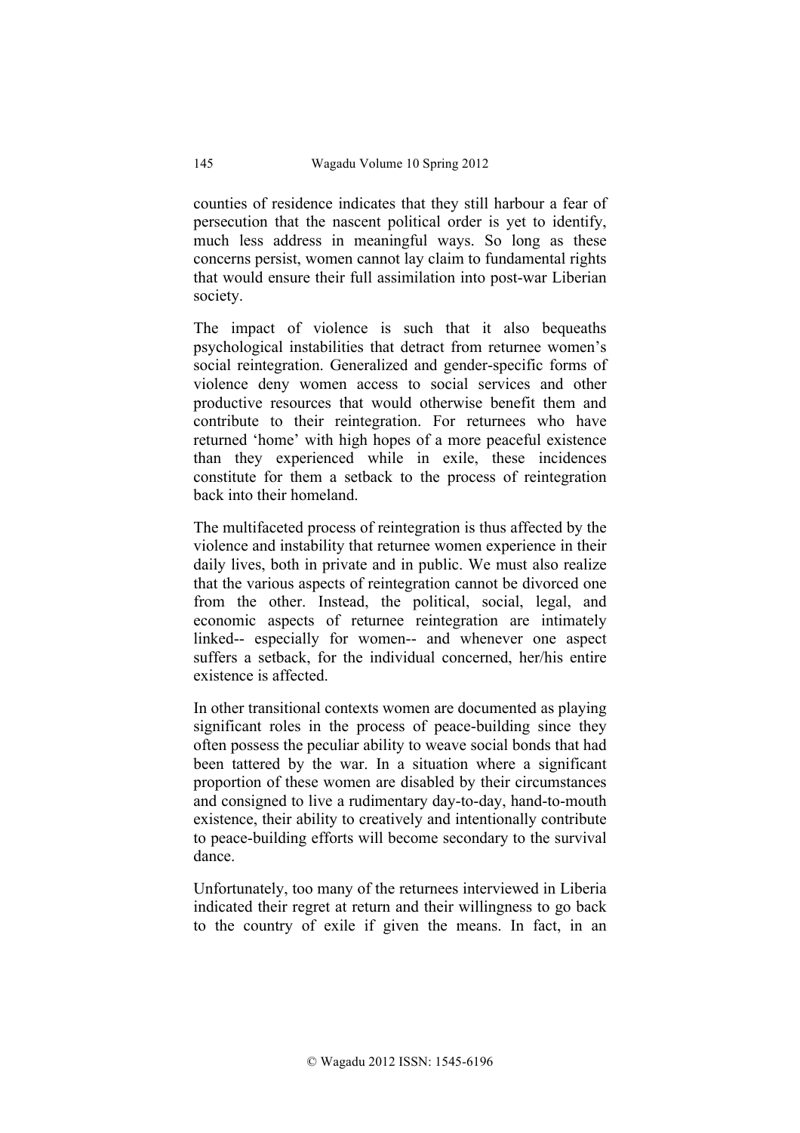counties of residence indicates that they still harbour a fear of persecution that the nascent political order is yet to identify, much less address in meaningful ways. So long as these concerns persist, women cannot lay claim to fundamental rights that would ensure their full assimilation into post-war Liberian society.

The impact of violence is such that it also bequeaths psychological instabilities that detract from returnee women's social reintegration. Generalized and gender-specific forms of violence deny women access to social services and other productive resources that would otherwise benefit them and contribute to their reintegration. For returnees who have returned 'home' with high hopes of a more peaceful existence than they experienced while in exile, these incidences constitute for them a setback to the process of reintegration back into their homeland.

The multifaceted process of reintegration is thus affected by the violence and instability that returnee women experience in their daily lives, both in private and in public. We must also realize that the various aspects of reintegration cannot be divorced one from the other. Instead, the political, social, legal, and economic aspects of returnee reintegration are intimately linked-- especially for women-- and whenever one aspect suffers a setback, for the individual concerned, her/his entire existence is affected.

In other transitional contexts women are documented as playing significant roles in the process of peace-building since they often possess the peculiar ability to weave social bonds that had been tattered by the war. In a situation where a significant proportion of these women are disabled by their circumstances and consigned to live a rudimentary day-to-day, hand-to-mouth existence, their ability to creatively and intentionally contribute to peace-building efforts will become secondary to the survival dance.

Unfortunately, too many of the returnees interviewed in Liberia indicated their regret at return and their willingness to go back to the country of exile if given the means. In fact, in an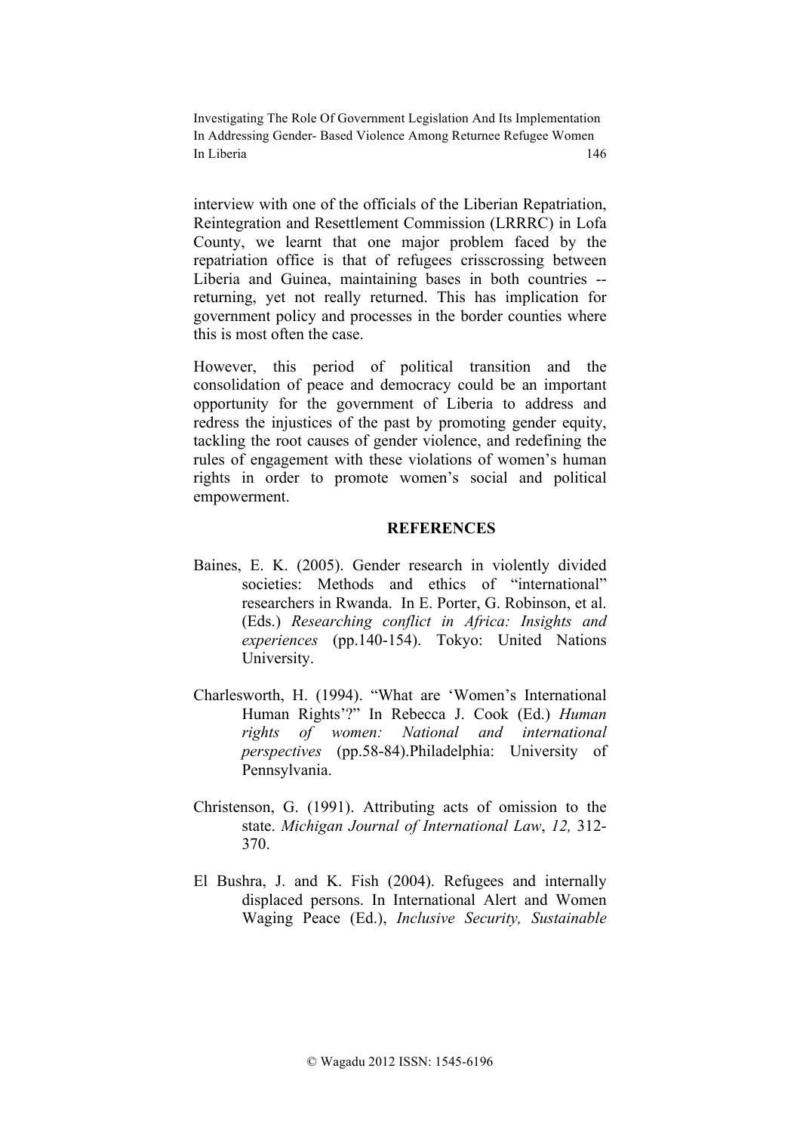interview with one of the officials of the Liberian Repatriation, Reintegration and Resettlement Commission (LRRRC) in Lofa County, we learnt that one major problem faced by the repatriation office is that of refugees crisscrossing between Liberia and Guinea, maintaining bases in both countries - returning, yet not really returned. This has implication for government policy and processes in the border counties where this is most often the case.

However, this period of political transition and the consolidation of peace and democracy could be an important opportunity for the government of Liberia to address and redress the injustices of the past by promoting gender equity, tackling the root causes of gender violence, and redefining the rules of engagement with these violations of women's human rights in order to promote women's social and political empowerment.

### **REFERENCES**

- Baines, E. K. (2005). Gender research in violently divided societies: Methods and ethics of "international" researchers in Rwanda. In E. Porter, G. Robinson, et al. (Eds.) *Researching conflict in Africa: Insights and experiences* (pp.140-154). Tokyo: United Nations University.
- Charlesworth, H. (1994). "What are 'Women's International Human Rights'?" In Rebecca J. Cook (Ed.) *Human rights of women: National and international perspectives* (pp.58-84).Philadelphia: University of Pennsylvania.
- Christenson, G. (1991). Attributing acts of omission to the state. *Michigan Journal of International Law*, *12,* 312- 370.
- El Bushra, J. and K. Fish (2004). Refugees and internally displaced persons. In International Alert and Women Waging Peace (Ed.), *Inclusive Security, Sustainable*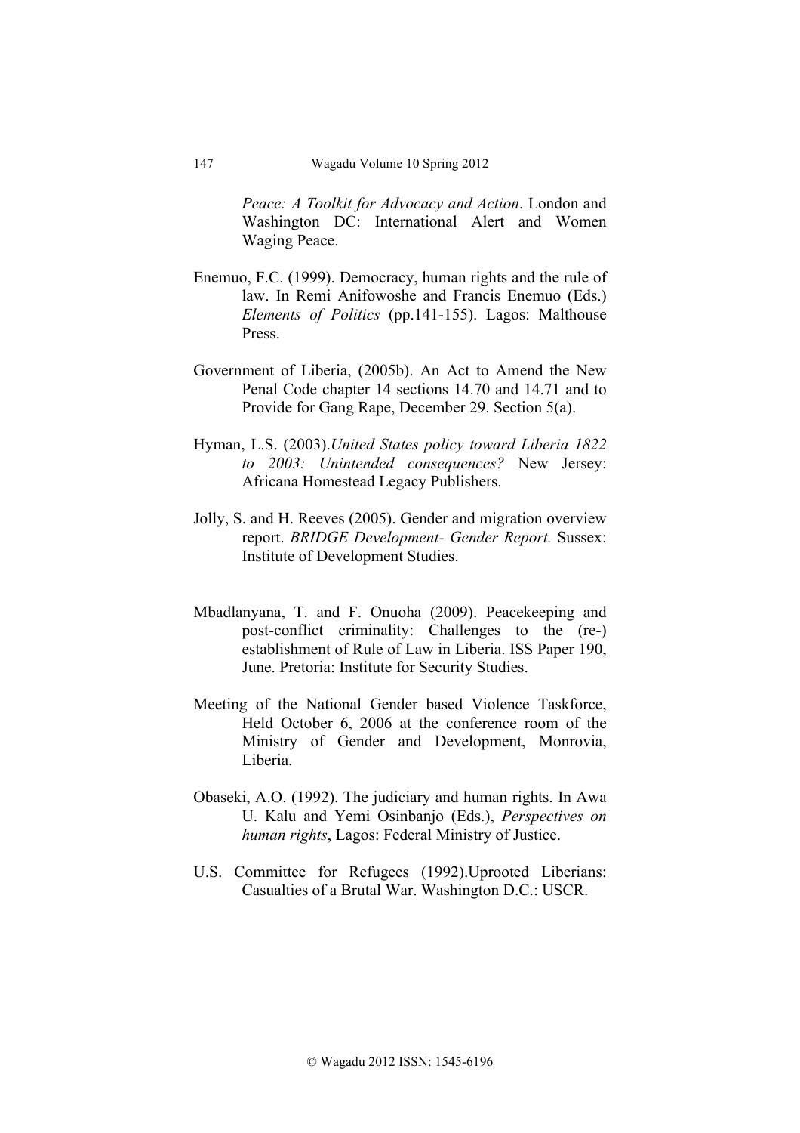*Peace: A Toolkit for Advocacy and Action*. London and Washington DC: International Alert and Women Waging Peace.

- Enemuo, F.C. (1999). Democracy, human rights and the rule of law. In Remi Anifowoshe and Francis Enemuo (Eds.) *Elements of Politics* (pp.141-155). Lagos: Malthouse Press.
- Government of Liberia, (2005b). An Act to Amend the New Penal Code chapter 14 sections 14.70 and 14.71 and to Provide for Gang Rape, December 29. Section 5(a).
- Hyman, L.S. (2003).*United States policy toward Liberia 1822 to 2003: Unintended consequences?* New Jersey: Africana Homestead Legacy Publishers.
- Jolly, S. and H. Reeves (2005). Gender and migration overview report. *BRIDGE Development- Gender Report.* Sussex: Institute of Development Studies.
- Mbadlanyana, T. and F. Onuoha (2009). Peacekeeping and post-conflict criminality: Challenges to the (re-) establishment of Rule of Law in Liberia. ISS Paper 190, June. Pretoria: Institute for Security Studies.
- Meeting of the National Gender based Violence Taskforce, Held October 6, 2006 at the conference room of the Ministry of Gender and Development, Monrovia, Liberia.
- Obaseki, A.O. (1992). The judiciary and human rights. In Awa U. Kalu and Yemi Osinbanjo (Eds.), *Perspectives on human rights*, Lagos: Federal Ministry of Justice.
- U.S. Committee for Refugees (1992).Uprooted Liberians: Casualties of a Brutal War. Washington D.C.: USCR.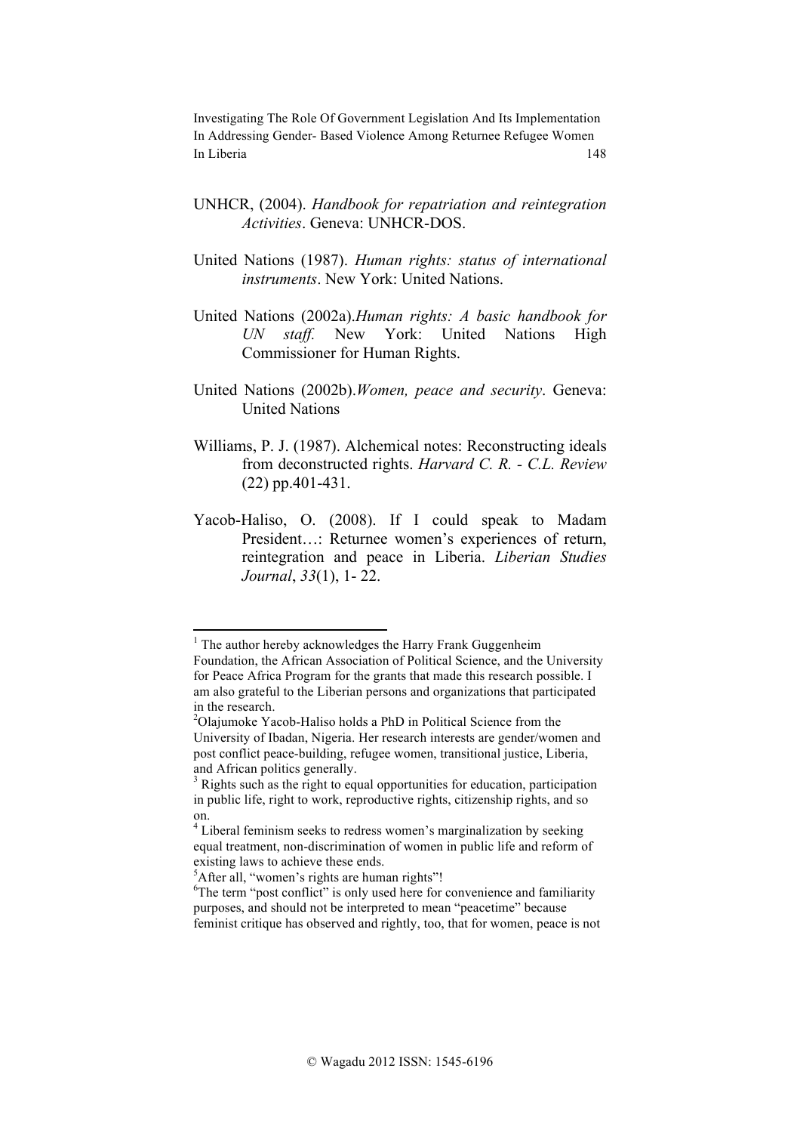- UNHCR, (2004). *Handbook for repatriation and reintegration Activities*. Geneva: UNHCR-DOS.
- United Nations (1987). *Human rights: status of international instruments*. New York: United Nations.
- United Nations (2002a).*Human rights: A basic handbook for UN staff.* New York: United Nations High Commissioner for Human Rights.
- United Nations (2002b).*Women, peace and security*. Geneva: United Nations
- Williams, P. J. (1987). Alchemical notes: Reconstructing ideals from deconstructed rights. *Harvard C. R. - C.L. Review* (22) pp.401-431.
- Yacob-Haliso, O. (2008). If I could speak to Madam President…: Returnee women's experiences of return, reintegration and peace in Liberia. *Liberian Studies Journal*, *33*(1), 1- 22.

!!!!!!!!!!!!!!!!!!!!!!!!!!!!!!!!!!!!!!!!!!!!!!!!!!!!!!!!!!!!

 $1$  The author hereby acknowledges the Harry Frank Guggenheim

Foundation, the African Association of Political Science, and the University for Peace Africa Program for the grants that made this research possible. I am also grateful to the Liberian persons and organizations that participated in the research.

<sup>&</sup>lt;sup>2</sup>Olajumoke Yacob-Haliso holds a PhD in Political Science from the University of Ibadan, Nigeria. Her research interests are gender/women and post conflict peace-building, refugee women, transitional justice, Liberia, and African politics generally.

<sup>&</sup>lt;sup>3</sup> Rights such as the right to equal opportunities for education, participation in public life, right to work, reproductive rights, citizenship rights, and so on.

<sup>&</sup>lt;sup>4</sup> Liberal feminism seeks to redress women's marginalization by seeking equal treatment, non-discrimination of women in public life and reform of existing laws to achieve these ends.

<sup>&</sup>lt;sup>5</sup>After all, "women's rights are human rights"!

<sup>&</sup>lt;sup>6</sup>The term "post conflict" is only used here for convenience and familiarity purposes, and should not be interpreted to mean "peacetime" because feminist critique has observed and rightly, too, that for women, peace is not